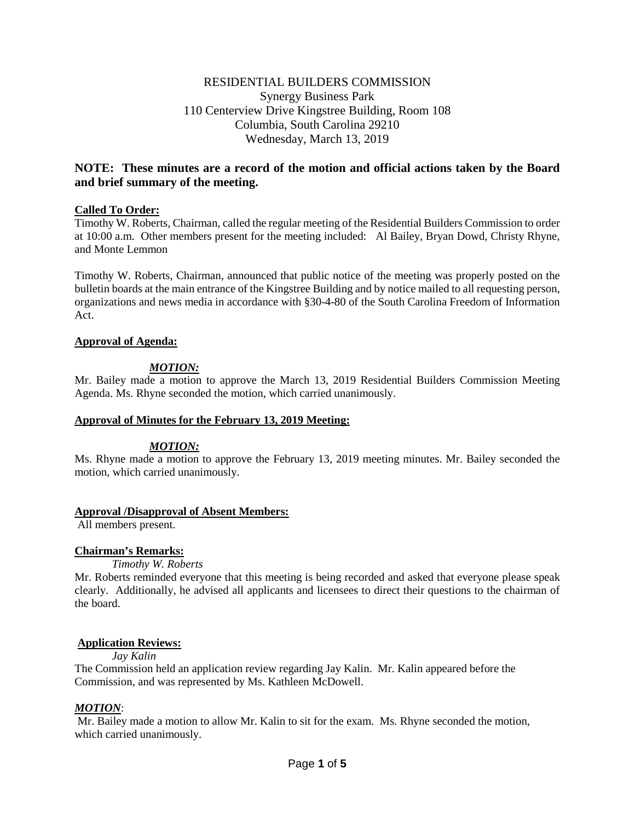# RESIDENTIAL BUILDERS COMMISSION Synergy Business Park 110 Centerview Drive Kingstree Building, Room 108 Columbia, South Carolina 29210 Wednesday, March 13, 2019

# **NOTE: These minutes are a record of the motion and official actions taken by the Board and brief summary of the meeting.**

## **Called To Order:**

Timothy W. Roberts, Chairman, called the regular meeting of the Residential Builders Commission to order at 10:00 a.m. Other members present for the meeting included: Al Bailey, Bryan Dowd, Christy Rhyne, and Monte Lemmon

Timothy W. Roberts, Chairman, announced that public notice of the meeting was properly posted on the bulletin boards at the main entrance of the Kingstree Building and by notice mailed to all requesting person, organizations and news media in accordance with §30-4-80 of the South Carolina Freedom of Information Act.

## **Approval of Agenda:**

# *MOTION:*

Mr. Bailey made a motion to approve the March 13, 2019 Residential Builders Commission Meeting Agenda. Ms. Rhyne seconded the motion, which carried unanimously.

## **Approval of Minutes for the February 13, 2019 Meeting:**

## *MOTION:*

Ms. Rhyne made a motion to approve the February 13, 2019 meeting minutes. Mr. Bailey seconded the motion, which carried unanimously.

## **Approval /Disapproval of Absent Members:**

All members present.

## **Chairman's Remarks:**

## *Timothy W. Roberts*

Mr. Roberts reminded everyone that this meeting is being recorded and asked that everyone please speak clearly. Additionally, he advised all applicants and licensees to direct their questions to the chairman of the board.

## **Application Reviews:**

*Jay Kalin* 

The Commission held an application review regarding Jay Kalin. Mr. Kalin appeared before the Commission, and was represented by Ms. Kathleen McDowell.

## *MOTION*:

Mr. Bailey made a motion to allow Mr. Kalin to sit for the exam. Ms. Rhyne seconded the motion, which carried unanimously.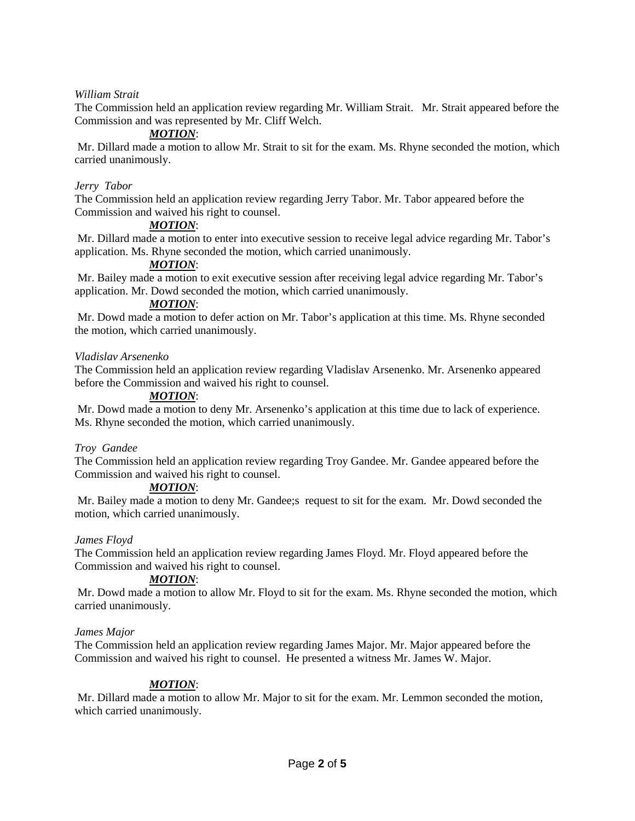## *William Strait*

The Commission held an application review regarding Mr. William Strait. Mr. Strait appeared before the Commission and was represented by Mr. Cliff Welch.

## *MOTION*:

Mr. Dillard made a motion to allow Mr. Strait to sit for the exam. Ms. Rhyne seconded the motion, which carried unanimously.

#### *Jerry Tabor*

The Commission held an application review regarding Jerry Tabor. Mr. Tabor appeared before the Commission and waived his right to counsel.

## *MOTION*:

Mr. Dillard made a motion to enter into executive session to receive legal advice regarding Mr. Tabor's application. Ms. Rhyne seconded the motion, which carried unanimously.

## *MOTION*:

Mr. Bailey made a motion to exit executive session after receiving legal advice regarding Mr. Tabor's application. Mr. Dowd seconded the motion, which carried unanimously.

#### *MOTION*:

Mr. Dowd made a motion to defer action on Mr. Tabor's application at this time. Ms. Rhyne seconded the motion, which carried unanimously.

#### *Vladislav Arsenenko*

The Commission held an application review regarding Vladislav Arsenenko. Mr. Arsenenko appeared before the Commission and waived his right to counsel.

#### *MOTION*:

Mr. Dowd made a motion to deny Mr. Arsenenko's application at this time due to lack of experience. Ms. Rhyne seconded the motion, which carried unanimously.

#### *Troy Gandee*

The Commission held an application review regarding Troy Gandee. Mr. Gandee appeared before the Commission and waived his right to counsel.

## *MOTION*:

Mr. Bailey made a motion to deny Mr. Gandee;s request to sit for the exam. Mr. Dowd seconded the motion, which carried unanimously.

#### *James Floyd*

The Commission held an application review regarding James Floyd. Mr. Floyd appeared before the Commission and waived his right to counsel.

## *MOTION*:

Mr. Dowd made a motion to allow Mr. Floyd to sit for the exam. Ms. Rhyne seconded the motion, which carried unanimously.

#### *James Major*

The Commission held an application review regarding James Major. Mr. Major appeared before the Commission and waived his right to counsel. He presented a witness Mr. James W. Major.

## *MOTION*:

Mr. Dillard made a motion to allow Mr. Major to sit for the exam. Mr. Lemmon seconded the motion, which carried unanimously.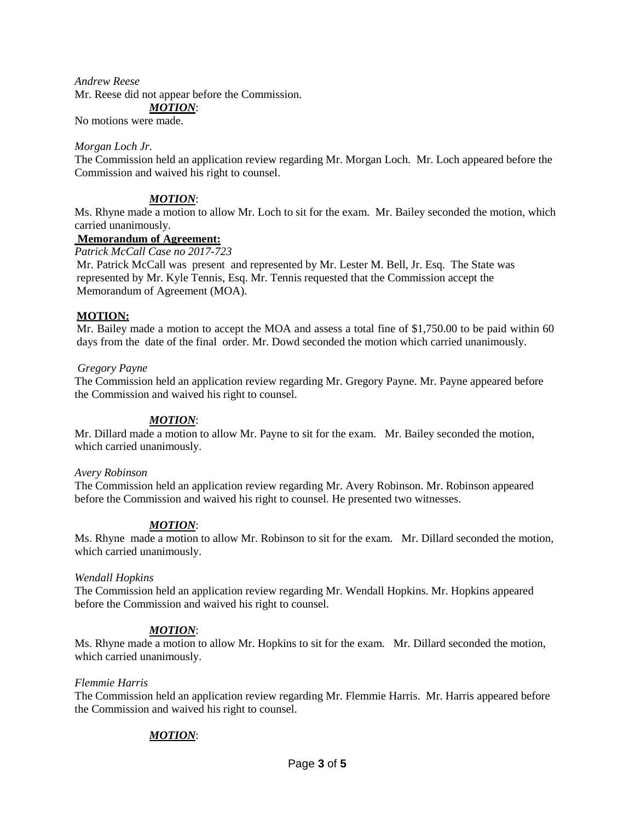#### *Andrew Reese*

Mr. Reese did not appear before the Commission.

## *MOTION*:

No motions were made.

#### *Morgan Loch Jr.*

The Commission held an application review regarding Mr. Morgan Loch. Mr. Loch appeared before the Commission and waived his right to counsel.

## *MOTION*:

Ms. Rhyne made a motion to allow Mr. Loch to sit for the exam. Mr. Bailey seconded the motion, which carried unanimously.

#### **Memorandum of Agreement:**

*Patrick McCall Case no 2017-723*

Mr. Patrick McCall was present and represented by Mr. Lester M. Bell, Jr. Esq. The State was represented by Mr. Kyle Tennis, Esq. Mr. Tennis requested that the Commission accept the Memorandum of Agreement (MOA).

## **MOTION:**

Mr. Bailey made a motion to accept the MOA and assess a total fine of \$1,750.00 to be paid within 60 days from the date of the final order. Mr. Dowd seconded the motion which carried unanimously.

## *Gregory Payne*

The Commission held an application review regarding Mr. Gregory Payne. Mr. Payne appeared before the Commission and waived his right to counsel.

## *MOTION*:

Mr. Dillard made a motion to allow Mr. Payne to sit for the exam. Mr. Bailey seconded the motion, which carried unanimously.

#### *Avery Robinson*

The Commission held an application review regarding Mr. Avery Robinson. Mr. Robinson appeared before the Commission and waived his right to counsel. He presented two witnesses.

## *MOTION*:

Ms. Rhyne made a motion to allow Mr. Robinson to sit for the exam. Mr. Dillard seconded the motion, which carried unanimously.

## *Wendall Hopkins*

The Commission held an application review regarding Mr. Wendall Hopkins. Mr. Hopkins appeared before the Commission and waived his right to counsel.

## *MOTION*:

Ms. Rhyne made a motion to allow Mr. Hopkins to sit for the exam. Mr. Dillard seconded the motion, which carried unanimously.

## *Flemmie Harris*

The Commission held an application review regarding Mr. Flemmie Harris. Mr. Harris appeared before the Commission and waived his right to counsel.

# *MOTION*: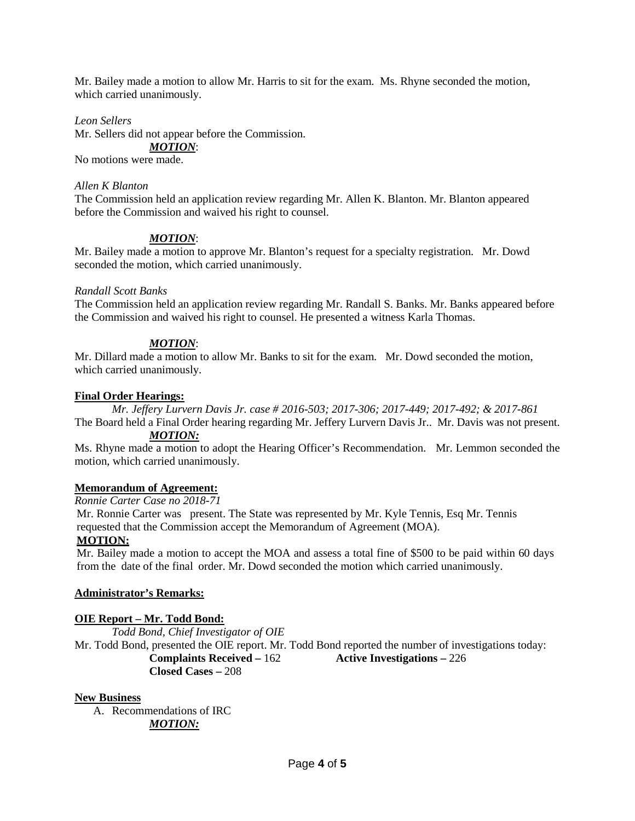Mr. Bailey made a motion to allow Mr. Harris to sit for the exam. Ms. Rhyne seconded the motion, which carried unanimously.

## *Leon Sellers*

Mr. Sellers did not appear before the Commission. *MOTION*: No motions were made.

## *Allen K Blanton*

The Commission held an application review regarding Mr. Allen K. Blanton. Mr. Blanton appeared before the Commission and waived his right to counsel.

## *MOTION*:

Mr. Bailey made a motion to approve Mr. Blanton's request for a specialty registration. Mr. Dowd seconded the motion, which carried unanimously.

## *Randall Scott Banks*

The Commission held an application review regarding Mr. Randall S. Banks. Mr. Banks appeared before the Commission and waived his right to counsel. He presented a witness Karla Thomas.

## *MOTION*:

Mr. Dillard made a motion to allow Mr. Banks to sit for the exam. Mr. Dowd seconded the motion, which carried unanimously.

## **Final Order Hearings:**

*Mr. Jeffery Lurvern Davis Jr. case # 2016-503; 2017-306; 2017-449; 2017-492; & 2017-861*

The Board held a Final Order hearing regarding Mr. Jeffery Lurvern Davis Jr.. Mr. Davis was not present. *MOTION:*

Ms. Rhyne made a motion to adopt the Hearing Officer's Recommendation. Mr. Lemmon seconded the motion, which carried unanimously.

# **Memorandum of Agreement:**

## *Ronnie Carter Case no 2018-71*

Mr. Ronnie Carter was present. The State was represented by Mr. Kyle Tennis, Esq Mr. Tennis requested that the Commission accept the Memorandum of Agreement (MOA).

## **MOTION:**

Mr. Bailey made a motion to accept the MOA and assess a total fine of \$500 to be paid within 60 days from the date of the final order. Mr. Dowd seconded the motion which carried unanimously.

# **Administrator's Remarks:**

# **OIE Report – Mr. Todd Bond:**

*Todd Bond, Chief Investigator of OIE* Mr. Todd Bond, presented the OIE report. Mr. Todd Bond reported the number of investigations today: **Complaints Received –** 162 **Active Investigations –** 226 **Closed Cases –** 208

## **New Business**

A. Recommendations of IRC *MOTION:*